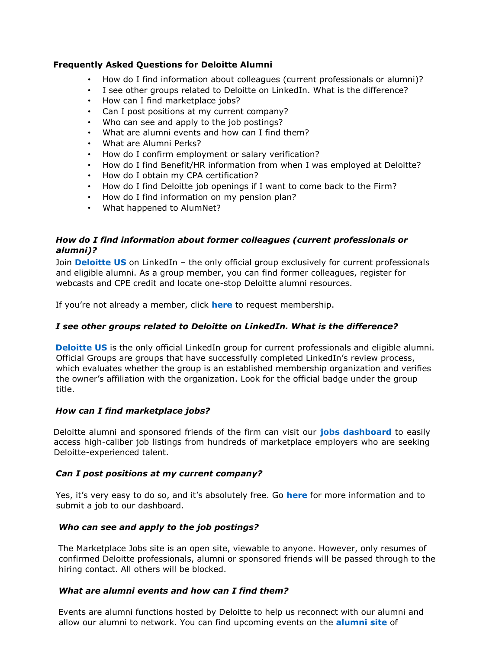### **Frequently Asked Questions for Deloitte Alumni**

- How do I find information about colleagues (current professionals or alumni)?
- I see other groups related to Deloitte on LinkedIn. What is the difference?
- How can I find marketplace jobs?
- Can I post positions at my current company?
- Who can see and apply to the job postings?
- What are alumni events and how can I find them?
- What are Alumni Perks?
- How do I confirm employment or salary verification?
- How do I find Benefit/HR information from when I was employed at Deloitte?
- How do I obtain my CPA certification?
- How do I find Deloitte job openings if I want to come back to the Firm?
- How do I find information on my pension plan?
- What happened to AlumNet?

## *How do I find information about former colleagues (current professionals or alumni)?*

Join **[Deloitte US](http://tinyurl.com/DeloitteAlumni)** on LinkedIn – the only official group exclusively for current professionals and eligible alumni. As a group member, you can find former colleagues, register for webcasts and CPE credit and locate one-stop Deloitte alumni resources.

If you're not already a member, click **[here](http://tinyurl.com/DeloitteAlumni)** to request membership.

## *I see other groups related to Deloitte on LinkedIn. What is the difference?*

**[Deloitte US](http://tinyurl.com/DeloitteAlumni)** is the only official LinkedIn group for current professionals and eligible alumni. Official Groups are groups that have successfully completed LinkedIn's review process, which evaluates whether the group is an established membership organization and verifies the owner's affiliation with the organization. Look for the official badge under the group title.

## *How can I find marketplace jobs?*

Deloitte alumni and sponsored friends of the firm can visit our **[jobs dashboard](http://deloittenet.force.com/deloittealumni)** to easily access high-caliber job listings from hundreds of marketplace employers who are seeking Deloitte-experienced talent.

## *Can I post positions at my current company?*

Yes, it's very easy to do so, and it's absolutely free. Go **[here](http://www.deloitte.com/view/en_US/us/Alumni/marketplace-jobs-alumni/index.htm)** for more information and to submit a job to our dashboard.

# *Who can see and apply to the job postings?*

The Marketplace Jobs site is an open site, viewable to anyone. However, only resumes of confirmed Deloitte professionals, alumni or sponsored friends will be passed through to the hiring contact. All others will be blocked.

## *What are alumni events and how can I find them?*

Events are alumni functions hosted by Deloitte to help us reconnect with our alumni and allow our alumni to network. You can find upcoming events on the **[alumni site](http://www2.deloitte.com/us/en/pages/careers/articles/life-at-deloitte-alumni-events.html)** of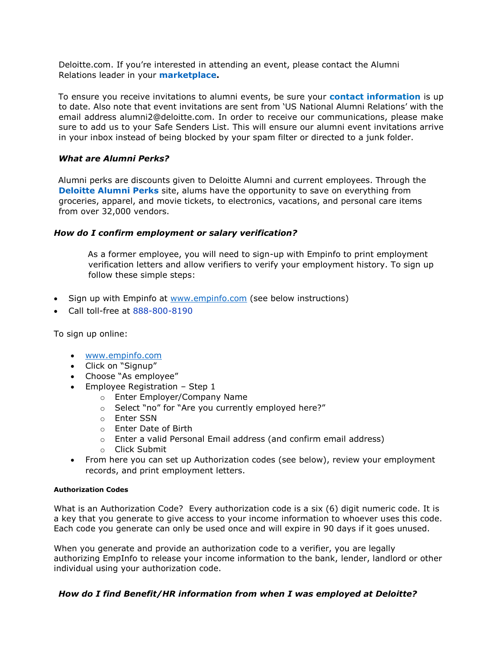Deloitte.com. If you're interested in attending an event, please contact the Alumni Relations leader in your **[marketplace.](http://www.deloitte.com/view/en_US/us/Alumni/alumni-relations-contacts/index.htm)**

To ensure you receive invitations to alumni events, be sure your **contact information** is up to date. Also note that event invitations are sent from 'US National Alumni Relations' with the email address alumni2@deloitte.com. In order to receive our communications, please make sure to add us to your Safe Senders List. This will ensure our alumni event invitations arrive in your inbox instead of being blocked by your spam filter or directed to a junk folder.

### *What are Alumni Perks?*

Alumni perks are discounts given to Deloitte Alumni and current employees. Through the **[Deloitte Alumni Perks](https://deloittealumni.corporateperks.com/login)** site, alums have the opportunity to save on everything from groceries, apparel, and movie tickets, to electronics, vacations, and personal care items from over 32,000 vendors.

#### *How do I confirm employment or salary verification?*

As a former employee, you will need to sign-up with Empinfo to print employment verification letters and allow verifiers to verify your employment history. To sign up follow these simple steps:

- Sign up with Empinfo at [www.empinfo.com](http://www.empinfo.com/) (see below instructions)
- Call toll-free at 888-800-8190

To sign up online:

- [www.empinfo.com](http://www.empinfo.com/)
- Click on "Signup"
- Choose "As employee"
- $\bullet$  Employee Registration Step 1
	- o Enter Employer/Company Name
	- o Select "no" for "Are you currently employed here?"
	- o Enter SSN
	- o Enter Date of Birth
	- o Enter a valid Personal Email address (and confirm email address)
	- o Click Submit
- From here you can set up Authorization codes (see below), review your employment records, and print employment letters.

#### **Authorization Codes**

What is an Authorization Code? Every authorization code is a six (6) digit numeric code. It is a key that you generate to give access to your income information to whoever uses this code. Each code you generate can only be used once and will expire in 90 days if it goes unused.

When you generate and provide an authorization code to a verifier, you are legally authorizing EmpInfo to release your income information to the bank, lender, landlord or other individual using your authorization code.

## *How do I find Benefit/HR information from when I was employed at Deloitte?*